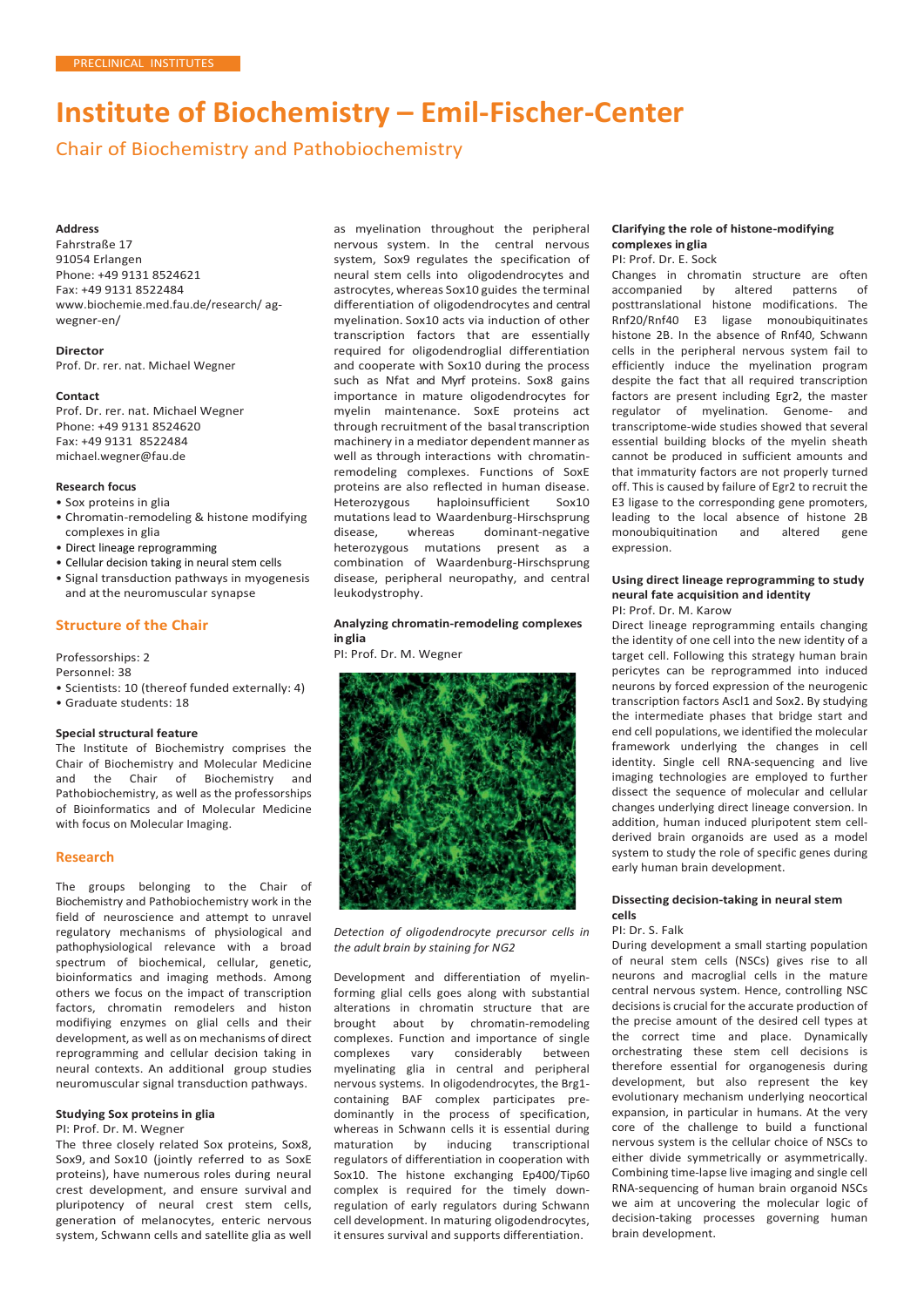# **Institute of Biochemistry – Emil-Fischer-Center**

Chair of Biochemistry and Pathobiochemistry

## **Address**

Fahrstraße 17 91054 Erlangen Phone: +49 9131 8524621 Fax: +49 9131 8522484 [www.biochemie.med.fau.de/research/](http://www.biochemie.med.fau.de/research/) agwegner-en/

## **Director**

Prof. Dr. rer. nat. Michael Wegner

# **Contact**

Prof. Dr. rer. nat. Michael Wegner Phone: +49 9131 8524620 Fax: +49 9131 8522484 [michael.wegner@fau.de](mailto:michael.wegner@fau.de)

#### **Research focus**

• Sox proteins in glia

- Chromatin-remodeling & histone modifying complexes in glia
- Direct lineage reprogramming
- Cellular decision taking in neural stem cells
- Signal transduction pathways in myogenesis and at the neuromuscular synapse

# **Structure of the Chair**

Professorships: 2

Personnel: 38

- Scientists: 10 (thereof funded externally: 4)
- Graduate students: 18

#### **Special structural feature**

The Institute of Biochemistry comprises the Chair of Biochemistry and Molecular Medicine and the Chair of Biochemistry and Pathobiochemistry, as well as the professorships of Bioinformatics and of Molecular Medicine with focus on Molecular Imaging.

# **Research**

The groups belonging to the Chair of Biochemistry and Pathobiochemistry work in the field of neuroscience and attempt to unravel regulatory mechanisms of physiological and pathophysiological relevance with a broad spectrum of biochemical, cellular, genetic, bioinformatics and imaging methods. Among others we focus on the impact of transcription factors, chromatin remodelers and histon modifiying enzymes on glial cells and their development, as well as on mechanisms of direct reprogramming and cellular decision taking in neural contexts. An additional group studies neuromuscular signal transduction pathways.

# **Studying Sox proteins in glia**

PI: Prof. Dr. M. Wegner

The three closely related Sox proteins, Sox8, Sox9, and Sox10 (jointly referred to as SoxE proteins), have numerous roles during neural crest development, and ensure survival and pluripotency of neural crest stem cells, generation of melanocytes, enteric nervous system, Schwann cells and satellite glia as well as myelination throughout the peripheral nervous system. In the central nervous system, Sox9 regulates the specification of neural stem cells into oligodendrocytes and astrocytes, whereas Sox10 guides the terminal differentiation of oligodendrocytes and central myelination. Sox10 acts via induction of other transcription factors that are essentially required for oligodendroglial differentiation and cooperate with Sox10 during the process such as Nfat and Myrf proteins. Sox8 gains importance in mature oligodendrocytes for myelin maintenance. SoxE proteins act through recruitment of the basaltranscription machinery in a mediator dependent manner as well as through interactions with chromatinremodeling complexes. Functions of SoxE proteins are also reflected in human disease. haploinsufficient mutations lead to Waardenburg-Hirschsprung<br>disease, whereas dominant-negative dominant-negative heterozygous mutations present as a combination of Waardenburg-Hirschsprung disease, peripheral neuropathy, and central leukodystrophy.

# **Analyzing chromatin-remodeling complexes in glia**

PI: Prof. Dr. M. Wegner



*Detection of oligodendrocyte precursor cells in the adult brain by staining for NG2*

Development and differentiation of myelinforming glial cells goes along with substantial alterations in chromatin structure that are brought about by chromatin-remodeling complexes. Function and importance of single complexes vary considerably between myelinating glia in central and peripheral nervous systems. In oligodendrocytes, the Brg1 containing BAF complex participates predominantly in the process of specification, whereas in Schwann cells it is essential during maturation by inducing transcriptional regulators of differentiation in cooperation with Sox10. The histone exchanging Ep400/Tip60 complex is required for the timely downregulation of early regulators during Schwann cell development. In maturing oligodendrocytes, it ensures survival and supports differentiation.

# **Clarifying the role of histone-modifying complexes in glia**

PI: Prof. Dr. E. Sock

Changes in chromatin structure are often accompanied by altered patterns of posttranslational histone modifications. The Rnf20/Rnf40 E3 ligase monoubiquitinates histone 2B. In the absence of Rnf40, Schwann cells in the peripheral nervous system fail to efficiently induce the myelination program despite the fact that all required transcription factors are present including Egr2, the master regulator of myelination. Genome- and transcriptome-wide studies showed that several essential building blocks of the myelin sheath cannot be produced in sufficient amounts and that immaturity factors are not properly turned off. This is caused by failure of Egr2 to recruit the E3 ligase to the corresponding gene promoters, leading to the local absence of histone 2B<br>monoubiquitination and altered gene monoubiquitination expression.

#### **Using direct lineage reprogramming to study neural fate acquisition and identity** PI: Prof. Dr. M. Karow

Direct lineage reprogramming entails changing the identity of one cell into the new identity of a target cell. Following this strategy human brain pericytes can be reprogrammed into induced neurons by forced expression of the neurogenic transcription factors Ascl1 and Sox2. By studying the intermediate phases that bridge start and end cell populations, we identified the molecular framework underlying the changes in cell identity. Single cell RNA-sequencing and live imaging technologies are employed to further dissect the sequence of molecular and cellular changes underlying direct lineage conversion. In addition, human induced pluripotent stem cellderived brain organoids are used as a model system to study the role of specific genes during early human brain development.

# **Dissecting decision-taking in neural stem cells**

#### PI: Dr. S. Falk

During development a small starting population of neural stem cells (NSCs) gives rise to all neurons and macroglial cells in the mature central nervous system. Hence, controlling NSC decisions is crucial for the accurate production of the precise amount of the desired cell types at the correct time and place. Dynamically orchestrating these stem cell decisions is therefore essential for organogenesis during development, but also represent the key evolutionary mechanism underlying neocortical expansion, in particular in humans. At the very core of the challenge to build a functional nervous system is the cellular choice of NSCs to either divide symmetrically or asymmetrically. Combining time-lapse live imaging and single cell RNA-sequencing of human brain organoid NSCs we aim at uncovering the molecular logic of decision-taking processes governing human brain development.